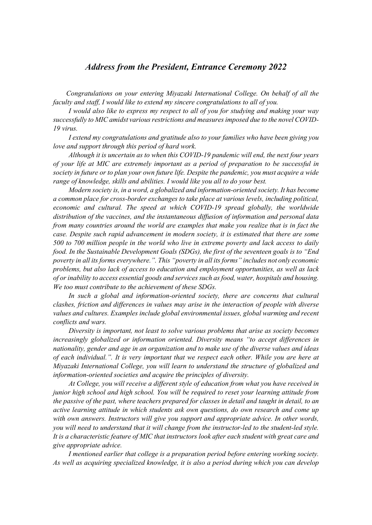## *Address from the President, Entrance Ceremony 2022*

*Congratulations on your entering Miyazaki International College. On behalf of all the faculty and staff, I would like to extend my sincere congratulations to all of you.*

*I would also like to express my respect to all of you for studying and making your way successfully to MIC amidst various restrictions and measures imposed due to the novel COVID-19 virus.*

*I extend my congratulations and gratitude also to your families who have been giving you love and support through this period of hard work.*

*Although it is uncertain as to when this COVID-19 pandemic will end, the next four years of your life at MIC are extremely important as a period of preparation to be successful in society in future or to plan your own future life. Despite the pandemic, you must acquire a wide range of knowledge, skills and abilities. I would like you all to do your best.*

*Modern society is, in a word, a globalized and information-oriented society. It has become a common place for cross-border exchanges to take place at various levels, including political, economic and cultural. The speed at which COVID-19 spread globally, the worldwide distribution of the vaccines, and the instantaneous diffusion of information and personal data from many countries around the world are examples that make you realize that is in fact the case. Despite such rapid advancement in modern society, it is estimated that there are some 500 to 700 million people in the world who live in extreme poverty and lack access to daily food. In the Sustainable Development Goals (SDGs), the first of the seventeen goals is to "End poverty in all its forms everywhere.". This "poverty in all its forms" includes not only economic problems, but also lack of access to education and employment opportunities, as well as lack of or inability to access essential goods and services such as food, water, hospitals and housing. We too must contribute to the achievement of these SDGs.*

In such a global and information-oriented society, there are concerns that cultural *clashes, friction and differences in values may arise in the interaction of people with diverse values and cultures. Examples include global environmental issues, global warming and recent conflicts and wars.*

*Diversity is important, not least to solve various problems that arise as society becomes increasingly globalized or information oriented. Diversity means "to accept differences in nationality, gender and age in an organization and to make use of the diverse values and ideas of each individual.". It is very important that we respect each other. While you are here at Miyazaki International College, you will learn to understand the structure of globalized and information-oriented societies and acquire the principles of diversity.*

*At College, you will receive a different style of education from what you have received in junior high school and high school. You will be required to reset your learning attitude from the passive of the past, where teachers prepared for classes in detail and taught in detail, to an active learning attitude in which students ask own questions, do own research and come up with own answers. Instructors will give you support and appropriate advice. In other words, you will need to understand that it will change from the instructor-led to the student-led style. It is a characteristic feature of MIC that instructors look after each student with great care and give appropriate advice.*

*I mentioned earlier that college is a preparation period before entering working society. As well as acquiring specialized knowledge, it is also a period during which you can develop*